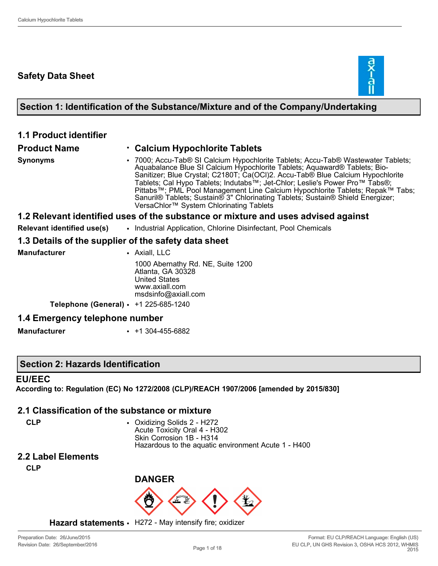## **Safety Data Sheet**



## **Section 1: Identification of the Substance/Mixture and of the Company/Undertaking**

| <b>1.1 Product identifier</b>                        |                                                                                                                                                                                                                                                                                                                                                                                                                                                                                                                                              |
|------------------------------------------------------|----------------------------------------------------------------------------------------------------------------------------------------------------------------------------------------------------------------------------------------------------------------------------------------------------------------------------------------------------------------------------------------------------------------------------------------------------------------------------------------------------------------------------------------------|
| <b>Product Name</b>                                  | • Calcium Hypochlorite Tablets                                                                                                                                                                                                                                                                                                                                                                                                                                                                                                               |
| <b>Synonyms</b>                                      | • 7000; Accu-Tab® SI Calcium Hypochlorite Tablets; Accu-Tab® Wastewater Tablets;<br>Aquabalance Blue SI Calcium Hypochlorite Tablets; Aquaward® Tablets; Bio-<br>Sanitizer; Blue Crystal; C2180T; Ca(OCI)2. Accu-Tab® Blue Calcium Hypochlorite<br>Tablets; Cal Hypo Tablets; Indutabs™; Jet-Chlor; Leslie's Power Pro™ Tabs®;<br>Pittabs™; PML Pool Management Line Calcium Hypochlorite Tablets; Repak™ Tabs;<br>Sanuril® Tablets; Sustain® 3" Chlorinating Tablets; Sustain® Shield Energizer;<br>VersaChlor™ System Chlorinating Tablets |
|                                                      | 1.2 Relevant identified uses of the substance or mixture and uses advised against                                                                                                                                                                                                                                                                                                                                                                                                                                                            |
| <b>Relevant identified use(s)</b>                    | • Industrial Application, Chlorine Disinfectant, Pool Chemicals                                                                                                                                                                                                                                                                                                                                                                                                                                                                              |
| 1.3 Details of the supplier of the safety data sheet |                                                                                                                                                                                                                                                                                                                                                                                                                                                                                                                                              |
| <b>Manufacturer</b>                                  | • Axiall, LLC                                                                                                                                                                                                                                                                                                                                                                                                                                                                                                                                |
|                                                      | 1000 Abernathy Rd. NE, Suite 1200<br>Atlanta, GA 30328<br><b>United States</b><br>www.axiall.com<br>msdsinfo@axiall.com                                                                                                                                                                                                                                                                                                                                                                                                                      |
| <b>Telephone (General) · +1 225-685-1240</b>         |                                                                                                                                                                                                                                                                                                                                                                                                                                                                                                                                              |
| 1.4 Emergency telephone number                       |                                                                                                                                                                                                                                                                                                                                                                                                                                                                                                                                              |
| <b>Manufacturer</b>                                  | $\cdot$ +1 304-455-6882                                                                                                                                                                                                                                                                                                                                                                                                                                                                                                                      |

## **Section 2: Hazards Identification**

#### **EU/EEC**

**According to: Regulation (EC) No 1272/2008 (CLP)/REACH 1907/2006 [amended by 2015/830]**

## **2.1 Classification of the substance or mixture**

**CLP** • Oxidizing Solids 2 - H272 Acute Toxicity Oral 4 - H302 Skin Corrosion 1B - H314 Hazardous to the aquatic environment Acute 1 - H400

## **2.2 Label Elements**

**CLP**



**Hazard statements** • H272 - May intensify fire; oxidizer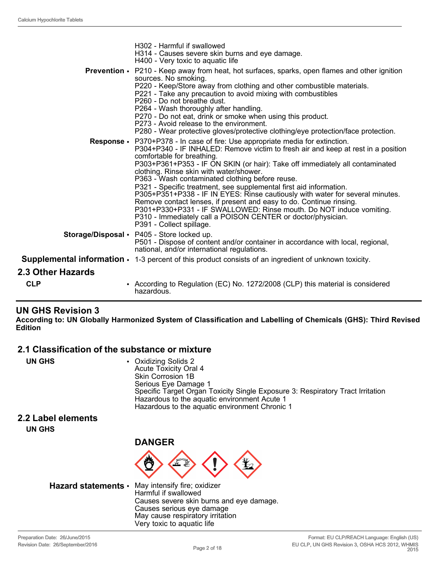|                          | H302 - Harmful if swallowed<br>H314 - Causes severe skin burns and eye damage.<br>H400 - Very toxic to aquatic life                                                                                                                                                                                                                                                                                                                                                                                                                                                                                                                                                                                                                                                  |
|--------------------------|----------------------------------------------------------------------------------------------------------------------------------------------------------------------------------------------------------------------------------------------------------------------------------------------------------------------------------------------------------------------------------------------------------------------------------------------------------------------------------------------------------------------------------------------------------------------------------------------------------------------------------------------------------------------------------------------------------------------------------------------------------------------|
|                          | <b>Prevention</b> • P210 - Keep away from heat, hot surfaces, sparks, open flames and other ignition<br>sources. No smoking.<br>P220 - Keep/Store away from clothing and other combustible materials.<br>P221 - Take any precaution to avoid mixing with combustibles<br>P260 - Do not breathe dust.<br>P264 - Wash thoroughly after handling.<br>P270 - Do not eat, drink or smoke when using this product.<br>P273 - Avoid release to the environment.<br>P280 - Wear protective gloves/protective clothing/eye protection/face protection.                                                                                                                                                                                                                        |
| Response •               | P370+P378 - In case of fire: Use appropriate media for extinction.<br>P304+P340 - IF INHALED: Remove victim to fresh air and keep at rest in a position<br>comfortable for breathing.<br>P303+P361+P353 - IF ON SKIN (or hair): Take off immediately all contaminated<br>clothing. Rinse skin with water/shower.<br>P363 - Wash contaminated clothing before reuse.<br>P321 - Specific treatment, see supplemental first aid information.<br>P305+P351+P338 - IF IN EYES: Rinse cautiously with water for several minutes.<br>Remove contact lenses, if present and easy to do. Continue rinsing.<br>P301+P330+P331 - IF SWALLOWED: Rinse mouth. Do NOT induce vomiting.<br>P310 - Immediately call a POISON CENTER or doctor/physician.<br>P391 - Collect spillage. |
| Storage/Disposal •       | P405 - Store locked up.<br>P501 - Dispose of content and/or container in accordance with local, regional,<br>national, and/or international regulations.                                                                                                                                                                                                                                                                                                                                                                                                                                                                                                                                                                                                             |
|                          | <b>Supplemental information <math>\cdot</math></b> 1-3 percent of this product consists of an ingredient of unknown toxicity.                                                                                                                                                                                                                                                                                                                                                                                                                                                                                                                                                                                                                                        |
| <b>2.3 Other Hazards</b> |                                                                                                                                                                                                                                                                                                                                                                                                                                                                                                                                                                                                                                                                                                                                                                      |
| <b>CLP</b>               | • According to Regulation (EC) No. 1272/2008 (CLP) this material is considered<br>hazardous.                                                                                                                                                                                                                                                                                                                                                                                                                                                                                                                                                                                                                                                                         |

## **UN GHS Revision 3**

**According to: UN Globally Harmonized System of Classification and Labelling of Chemicals (GHS): Third Revised Edition**

## **2.1 Classification of the substance or mixture**

| UN GHS | • Oxidizing Solids 2<br><b>Acute Toxicity Oral 4</b><br>Skin Corrosion 1B<br>Serious Eye Damage 1<br>Specific Target Organ Toxicity Single Exposure 3: Respiratory Tract Irritation<br>Hazardous to the aquatic environment Acute 1<br>Hazardous to the aquatic environment Chronic 1 |
|--------|---------------------------------------------------------------------------------------------------------------------------------------------------------------------------------------------------------------------------------------------------------------------------------------|
|        |                                                                                                                                                                                                                                                                                       |

## **2.2 Label elements**

**UN GHS**



**Hazard statements** • May intensify fire; oxidizer

Harmful if swallowed Causes severe skin burns and eye damage. Causes serious eye damage May cause respiratory irritation Very toxic to aquatic life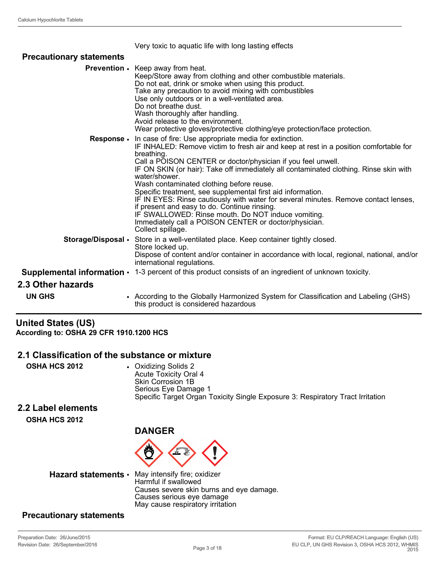|                                 | Very toxic to aquatic life with long lasting effects                                                                                                                                                                                                                                                                                                                                                                                                                                                                                                                                                                                                                                                                          |  |  |
|---------------------------------|-------------------------------------------------------------------------------------------------------------------------------------------------------------------------------------------------------------------------------------------------------------------------------------------------------------------------------------------------------------------------------------------------------------------------------------------------------------------------------------------------------------------------------------------------------------------------------------------------------------------------------------------------------------------------------------------------------------------------------|--|--|
| <b>Precautionary statements</b> |                                                                                                                                                                                                                                                                                                                                                                                                                                                                                                                                                                                                                                                                                                                               |  |  |
|                                 | <b>Prevention •</b> Keep away from heat.<br>Keep/Store away from clothing and other combustible materials.<br>Do not eat, drink or smoke when using this product.<br>Take any precaution to avoid mixing with combustibles<br>Use only outdoors or in a well-ventilated area.<br>Do not breathe dust.<br>Wash thoroughly after handling.<br>Avoid release to the environment.<br>Wear protective gloves/protective clothing/eye protection/face protection.                                                                                                                                                                                                                                                                   |  |  |
| Response .                      | In case of fire: Use appropriate media for extinction.<br>IF INHALED: Remove victim to fresh air and keep at rest in a position comfortable for<br>breathing.<br>Call a POISON CENTER or doctor/physician if you feel unwell.<br>IF ON SKIN (or hair): Take off immediately all contaminated clothing. Rinse skin with<br>water/shower.<br>Wash contaminated clothing before reuse.<br>Specific treatment, see supplemental first aid information.<br>IF IN EYES: Rinse cautiously with water for several minutes. Remove contact lenses,<br>if present and easy to do. Continue rinsing.<br>IF SWALLOWED: Rinse mouth. Do NOT induce vomiting.<br>Immediately call a POISON CENTER or doctor/physician.<br>Collect spillage. |  |  |
|                                 | Storage/Disposal • Store in a well-ventilated place. Keep container tightly closed.<br>Store locked up.<br>Dispose of content and/or container in accordance with local, regional, national, and/or<br>international regulations.                                                                                                                                                                                                                                                                                                                                                                                                                                                                                             |  |  |
|                                 | <b>Supplemental information</b> • 1-3 percent of this product consists of an ingredient of unknown toxicity.                                                                                                                                                                                                                                                                                                                                                                                                                                                                                                                                                                                                                  |  |  |
| 2.3 Other hazards               |                                                                                                                                                                                                                                                                                                                                                                                                                                                                                                                                                                                                                                                                                                                               |  |  |
| <b>UN GHS</b><br>$\bullet$      | According to the Globally Harmonized System for Classification and Labeling (GHS)<br>this product is considered hazardous                                                                                                                                                                                                                                                                                                                                                                                                                                                                                                                                                                                                     |  |  |

## **United States (US)**

**According to: OSHA 29 CFR 1910.1200 HCS**

## **2.1 Classification of the substance or mixture**

**OSHA HCS 2012** • Oxidizing Solids 2 Acute Toxicity Oral 4 Skin Corrosion 1B Serious Eye Damage 1 Specific Target Organ Toxicity Single Exposure 3: Respiratory Tract Irritation

## **2.2 Label elements**

**OSHA HCS 2012**

## **DANGER**



**Hazard statements** • May intensify fire; oxidizer Harmful if swallowed Causes severe skin burns and eye damage. Causes serious eye damage May cause respiratory irritation

#### **Precautionary statements**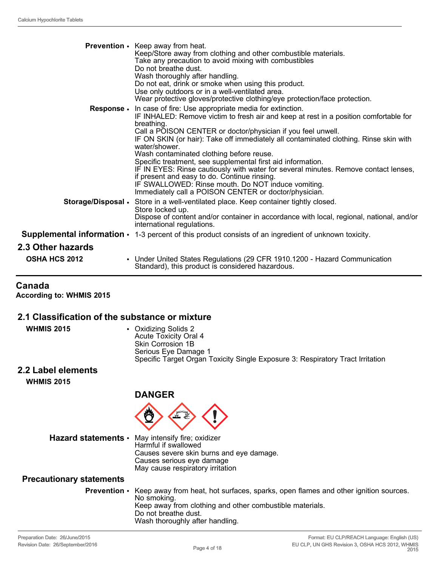|                      | <b>Prevention</b> • Keep away from heat.<br>Keep/Store away from clothing and other combustible materials.<br>Take any precaution to avoid mixing with combustibles<br>Do not breathe dust.<br>Wash thoroughly after handling.<br>Do not eat, drink or smoke when using this product.<br>Use only outdoors or in a well-ventilated area.<br>Wear protective gloves/protective clothing/eye protection/face protection.                                                                                                                                                                                                                                                                                   |
|----------------------|----------------------------------------------------------------------------------------------------------------------------------------------------------------------------------------------------------------------------------------------------------------------------------------------------------------------------------------------------------------------------------------------------------------------------------------------------------------------------------------------------------------------------------------------------------------------------------------------------------------------------------------------------------------------------------------------------------|
| <b>Response.</b>     | In case of fire: Use appropriate media for extinction.<br>IF INHALED: Remove victim to fresh air and keep at rest in a position comfortable for<br>breathing.<br>Call a POISON CENTER or doctor/physician if you feel unwell.<br>IF ON SKIN (or hair): Take off immediately all contaminated clothing. Rinse skin with<br>water/shower.<br>Wash contaminated clothing before reuse.<br>Specific treatment, see supplemental first aid information.<br>IF IN EYES: Rinse cautiously with water for several minutes. Remove contact lenses,<br>if present and easy to do. Continue rinsing.<br>IF SWALLOWED: Rinse mouth. Do NOT induce vomiting.<br>Immediately call a POISON CENTER or doctor/physician. |
| Storage/Disposal •   | Store in a well-ventilated place. Keep container tightly closed.<br>Store locked up.<br>Dispose of content and/or container in accordance with local, regional, national, and/or<br>international regulations.                                                                                                                                                                                                                                                                                                                                                                                                                                                                                           |
|                      | <b>Supplemental information <math>\cdot</math></b> 1-3 percent of this product consists of an ingredient of unknown toxicity.                                                                                                                                                                                                                                                                                                                                                                                                                                                                                                                                                                            |
| 2.3 Other hazards    |                                                                                                                                                                                                                                                                                                                                                                                                                                                                                                                                                                                                                                                                                                          |
| <b>OSHA HCS 2012</b> | • Under United States Regulations (29 CFR 1910.1200 - Hazard Communication<br>Standard), this product is considered hazardous.                                                                                                                                                                                                                                                                                                                                                                                                                                                                                                                                                                           |

#### **Canada**

**According to: WHMIS 2015**

## **2.1 Classification of the substance or mixture**

| <b>WHMIS 2015</b>                               | • Oxidizing Solids 2<br><b>Acute Toxicity Oral 4</b><br>Skin Corrosion 1B<br>Serious Eye Damage 1<br>Specific Target Organ Toxicity Single Exposure 3: Respiratory Tract Irritation |
|-------------------------------------------------|-------------------------------------------------------------------------------------------------------------------------------------------------------------------------------------|
| <b>Alternative Lines and Alternative Action</b> |                                                                                                                                                                                     |

**2.2 Label elements WHMIS 2015**



**Hazard statements** • May intensify fire; oxidizer Harmful if swallowed Causes severe skin burns and eye damage. Causes serious eye damage May cause respiratory irritation

**DANGER**

#### **Precautionary statements**

**Prevention** • Keep away from heat, hot surfaces, sparks, open flames and other ignition sources. No smoking. Keep away from clothing and other combustible materials. Do not breathe dust. Wash thoroughly after handling.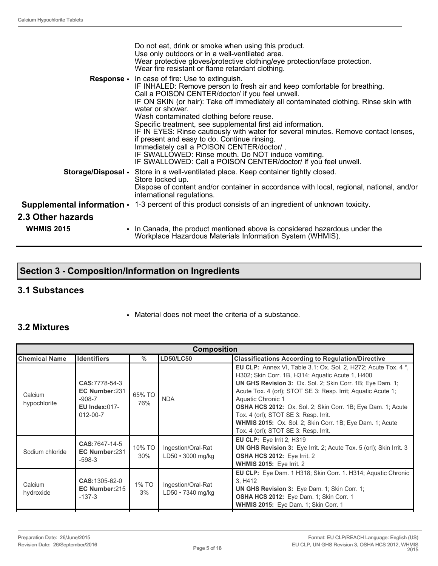|                   | Do not eat, drink or smoke when using this product.<br>Use only outdoors or in a well-ventilated area.<br>Wear protective gloves/protective clothing/eye protection/face protection.<br>Wear fire resistant or flame retardant clothing.                                                                                                                                                                                                                                                                                                                                                                                                                                                                                    |
|-------------------|-----------------------------------------------------------------------------------------------------------------------------------------------------------------------------------------------------------------------------------------------------------------------------------------------------------------------------------------------------------------------------------------------------------------------------------------------------------------------------------------------------------------------------------------------------------------------------------------------------------------------------------------------------------------------------------------------------------------------------|
|                   | <b>Response</b> • In case of fire: Use to extinguish.<br>IF INHALED: Remove person to fresh air and keep comfortable for breathing.<br>Call a POISON CENTER/doctor/ if you feel unwell.<br>IF ON SKIN (or hair): Take off immediately all contaminated clothing. Rinse skin with<br>water or shower.<br>Wash contaminated clothing before reuse.<br>Specific treatment, see supplemental first aid information.<br>IF IN EYES: Rinse cautiously with water for several minutes. Remove contact lenses,<br>if present and easy to do. Continue rinsing.<br>Immediately call a POISON CENTER/doctor/.<br>IF SWALLOWED: Rinse mouth. Do NOT induce vomiting.<br>IF SWALLOWED: Call a POISON CENTER/doctor/ if you feel unwell. |
|                   | Storage/Disposal • Store in a well-ventilated place. Keep container tightly closed.<br>Store locked up.<br>Dispose of content and/or container in accordance with local, regional, national, and/or<br>international regulations.                                                                                                                                                                                                                                                                                                                                                                                                                                                                                           |
|                   | <b>Supplemental information <math>\cdot</math></b> 1-3 percent of this product consists of an ingredient of unknown toxicity.                                                                                                                                                                                                                                                                                                                                                                                                                                                                                                                                                                                               |
| 2.3 Other hazards |                                                                                                                                                                                                                                                                                                                                                                                                                                                                                                                                                                                                                                                                                                                             |
| <b>WHMIS 2015</b> | • In Canada, the product mentioned above is considered hazardous under the<br>Workplace Hazardous Materials Information System (WHMIS).                                                                                                                                                                                                                                                                                                                                                                                                                                                                                                                                                                                     |

# **Section 3 - Composition/Information on Ingredients**

## **3.1 Substances**

• Material does not meet the criteria of a substance.

## **3.2 Mixtures**

| <b>Composition</b>      |                                                                                |               |                                               |                                                                                                                                                                                                                                                                                                                                                                                                                                                                                                        |
|-------------------------|--------------------------------------------------------------------------------|---------------|-----------------------------------------------|--------------------------------------------------------------------------------------------------------------------------------------------------------------------------------------------------------------------------------------------------------------------------------------------------------------------------------------------------------------------------------------------------------------------------------------------------------------------------------------------------------|
| <b>Chemical Name</b>    | <b>Identifiers</b>                                                             | $\%$          | <b>LD50/LC50</b>                              | <b>Classifications According to Regulation/Directive</b>                                                                                                                                                                                                                                                                                                                                                                                                                                               |
| Calcium<br>hypochlorite | CAS:7778-54-3<br>EC Number:231<br>$-908-7$<br><b>EU Index:017-</b><br>012-00-7 | 65% TO<br>76% | <b>NDA</b>                                    | EU CLP: Annex VI, Table 3.1: Ox. Sol. 2, H272; Acute Tox. 4 *,<br>H302; Skin Corr. 1B, H314; Aquatic Acute 1, H400<br><b>UN GHS Revision 3: Ox. Sol. 2; Skin Corr. 1B; Eye Dam. 1;</b><br>Acute Tox. 4 (orl); STOT SE 3: Resp. Irrit; Aquatic Acute 1;<br>Aquatic Chronic 1<br><b>OSHA HCS 2012:</b> Ox. Sol. 2; Skin Corr. 1B; Eye Dam. 1; Acute<br>Tox. 4 (orl); STOT SE 3: Resp. Irrit.<br><b>WHMIS 2015:</b> Ox. Sol. 2; Skin Corr. 1B; Eye Dam. 1; Acute<br>Tox. 4 (orl); STOT SE 3: Resp. Irrit. |
| Sodium chloride         | CAS:7647-14-5<br>EC Number:231<br>$-598-3$                                     | 10% TO<br>30% | Ingestion/Oral-Rat<br>LD50 • 3000 mg/kg       | EU CLP: Eye Irrit 2, H319<br><b>UN GHS Revision 3:</b> Eye Irrit. 2; Acute Tox. 5 (orl); Skin Irrit. 3<br><b>OSHA HCS 2012: Eye Irrit. 2</b><br><b>WHMIS 2015: Eye Irrit. 2</b>                                                                                                                                                                                                                                                                                                                        |
| Calcium<br>hydroxide    | <b>CAS:</b> 1305-62-0<br>EC Number:215<br>$-137-3$                             | 1% TO<br>3%   | Ingestion/Oral-Rat<br>$LD50 \cdot 7340$ mg/kg | EU CLP: Eye Dam. 1 H318; Skin Corr. 1. H314; Aquatic Chronic<br>3. H412<br><b>UN GHS Revision 3:</b> Eye Dam. 1; Skin Corr. 1;<br>OSHA HCS 2012: Eye Dam. 1; Skin Corr. 1<br>WHMIS 2015: Eye Dam. 1; Skin Corr. 1                                                                                                                                                                                                                                                                                      |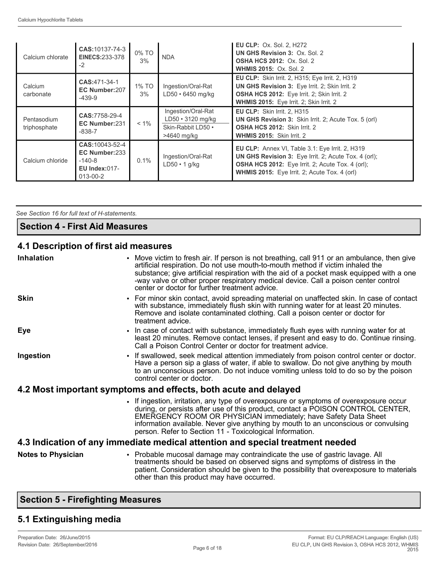| Calcium chlorate            | CAS: 10137-74-3<br><b>EINECS:233-378</b><br>$-2$                                  | 0% TO<br>3% | <b>NDA</b>                                                                         | <b>EU CLP:</b> Ox. Sol. 2, H272<br><b>UN GHS Revision 3: Ox. Sol. 2</b><br><b>OSHA HCS 2012: Ox. Sol. 2</b><br><b>WHMIS 2015: Ox. Sol. 2</b>                                                                |
|-----------------------------|-----------------------------------------------------------------------------------|-------------|------------------------------------------------------------------------------------|-------------------------------------------------------------------------------------------------------------------------------------------------------------------------------------------------------------|
| Calcium<br>carbonate        | CAS: 471-34-1<br>EC Number:207<br>$-439-9$                                        | 1% TO<br>3% | Ingestion/Oral-Rat<br>$LD50 \cdot 6450$ mg/kg                                      | <b>EU CLP:</b> Skin Irrit. 2, H315; Eye Irrit. 2, H319<br>UN GHS Revision 3: Eye Irrit. 2; Skin Irrit. 2<br><b>OSHA HCS 2012:</b> Eye Irrit. 2; Skin Irrit. 2<br>WHMIS 2015: Eye Irrit. 2; Skin Irrit. 2    |
| Pentasodium<br>triphosphate | CAS:7758-29-4<br>EC Number:231<br>$-838-7$                                        | $< 1\%$     | Ingestion/Oral-Rat<br>$LD50 \cdot 3120$ mg/kg<br>Skin-Rabbit LD50 ·<br>>4640 mg/kg | <b>EU CLP:</b> Skin Irrit. 2, H315<br><b>UN GHS Revision 3:</b> Skin Irrit. 2: Acute Tox. 5 (orl)<br><b>OSHA HCS 2012: Skin Irrit. 2</b><br>WHMIS 2015: Skin Irrit. 2                                       |
| Calcium chloride            | CAS: 10043-52-4<br>EC Number:233<br>$-140-8$<br>$EU$ Index:017-<br>$013 - 00 - 2$ | 0.1%        | Ingestion/Oral-Rat<br>$LD50 \cdot 1$ g/kg                                          | EU CLP: Annex VI, Table 3.1: Eye Irrit. 2, H319<br>UN GHS Revision 3: Eye Irrit. 2; Acute Tox. 4 (orl);<br>OSHA HCS 2012: Eye Irrit. 2; Acute Tox. 4 (orl);<br>WHMIS 2015: Eye Irrit. 2; Acute Tox. 4 (orl) |

*See Section 16 for full text of H-statements.* 

### **Section 4 - First Aid Measures**

## **4.1 Description of first aid measures**

| <b>Inhalation</b>                                                              | • Move victim to fresh air. If person is not breathing, call 911 or an ambulance, then give<br>artificial respiration. Do not use mouth-to-mouth method if victim inhaled the<br>substance; give artificial respiration with the aid of a pocket mask equipped with a one<br>-way valve or other proper respiratory medical device. Call a poison center control<br>center or doctor for further treatment advice. |  |
|--------------------------------------------------------------------------------|--------------------------------------------------------------------------------------------------------------------------------------------------------------------------------------------------------------------------------------------------------------------------------------------------------------------------------------------------------------------------------------------------------------------|--|
| <b>Skin</b>                                                                    | • For minor skin contact, avoid spreading material on unaffected skin. In case of contact<br>with substance, immediately flush skin with running water for at least 20 minutes.<br>Remove and isolate contaminated clothing. Call a poison center or doctor for<br>treatment advice.                                                                                                                               |  |
| Eye<br>$\bullet$                                                               | In case of contact with substance, immediately flush eyes with running water for at<br>least 20 minutes. Remove contact lenses, if present and easy to do. Continue rinsing.<br>Call a Poison Control Center or doctor for treatment advice.                                                                                                                                                                       |  |
| Ingestion                                                                      | • If swallowed, seek medical attention immediately from poison control center or doctor.<br>Have a person sip a glass of water, if able to swallow. Do not give anything by mouth<br>to an unconscious person. Do not induce vomiting unless told to do so by the poison<br>control center or doctor.                                                                                                              |  |
| 4.2 Most important symptoms and effects, both acute and delayed                |                                                                                                                                                                                                                                                                                                                                                                                                                    |  |
|                                                                                | • If ingestion, irritation, any type of overexposure or symptoms of overexposure occur<br>during, or persists after use of this product, contact a POISON CONTROL CENTER,<br>EMERGENCY ROOM OR PHYSICIAN immediately; have Safety Data Sheet<br>information available. Never give anything by mouth to an unconscious or convulsing<br>person. Refer to Section 11 - Toxicological Information.                    |  |
| 4.3 Indication of any immediate medical attention and special treatment needed |                                                                                                                                                                                                                                                                                                                                                                                                                    |  |
| <b>Notes to Physician</b>                                                      | • Probable mucosal damage may contraindicate the use of gastric lavage. All<br>treatments should be based on observed signs and symptoms of distress in the<br>patient. Consideration should be given to the possibility that overexposure to materials<br>other than this product may have occurred.                                                                                                              |  |

# **Section 5 - Firefighting Measures**

# **5.1 Extinguishing media**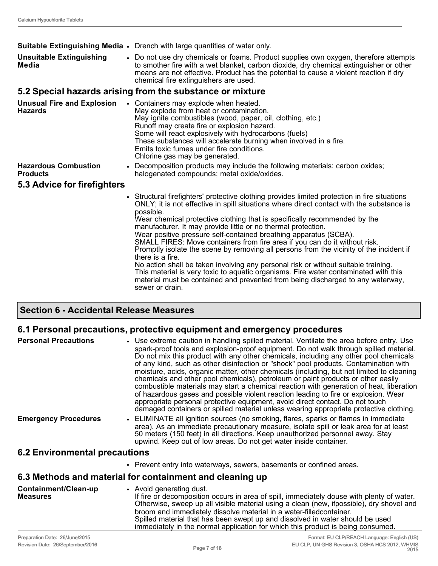|                                                     | <b>Suitable Extinguishing Media •</b> Drench with large quantities of water only.                                                                                                                                                                                                                                                                                                                                                                                                                                                                                                                                                                                                                                                                                                                                                                                                                         |  |  |  |  |
|-----------------------------------------------------|-----------------------------------------------------------------------------------------------------------------------------------------------------------------------------------------------------------------------------------------------------------------------------------------------------------------------------------------------------------------------------------------------------------------------------------------------------------------------------------------------------------------------------------------------------------------------------------------------------------------------------------------------------------------------------------------------------------------------------------------------------------------------------------------------------------------------------------------------------------------------------------------------------------|--|--|--|--|
| <b>Unsuitable Extinguishing</b><br>Media            | • Do not use dry chemicals or foams. Product supplies own oxygen, therefore attempts<br>to smother fire with a wet blanket, carbon dioxide, dry chemical extinguisher or other<br>means are not effective. Product has the potential to cause a violent reaction if dry<br>chemical fire extinguishers are used.                                                                                                                                                                                                                                                                                                                                                                                                                                                                                                                                                                                          |  |  |  |  |
|                                                     | 5.2 Special hazards arising from the substance or mixture                                                                                                                                                                                                                                                                                                                                                                                                                                                                                                                                                                                                                                                                                                                                                                                                                                                 |  |  |  |  |
| <b>Unusual Fire and Explosion</b><br><b>Hazards</b> | • Containers may explode when heated.<br>May explode from heat or contamination.<br>May ignite combustibles (wood, paper, oil, clothing, etc.)<br>Runoff may create fire or explosion hazard.<br>Some will react explosively with hydrocarbons (fuels)<br>These substances will accelerate burning when involved in a fire.<br>Emits toxic fumes under fire conditions.<br>Chlorine gas may be generated.                                                                                                                                                                                                                                                                                                                                                                                                                                                                                                 |  |  |  |  |
| <b>Hazardous Combustion</b><br><b>Products</b>      | • Decomposition products may include the following materials: carbon oxides;<br>halogenated compounds; metal oxide/oxides.                                                                                                                                                                                                                                                                                                                                                                                                                                                                                                                                                                                                                                                                                                                                                                                |  |  |  |  |
| 5.3 Advice for firefighters                         |                                                                                                                                                                                                                                                                                                                                                                                                                                                                                                                                                                                                                                                                                                                                                                                                                                                                                                           |  |  |  |  |
|                                                     | • Structural firefighters' protective clothing provides limited protection in fire situations<br>ONLY; it is not effective in spill situations where direct contact with the substance is<br>possible.<br>Wear chemical protective clothing that is specifically recommended by the<br>manufacturer. It may provide little or no thermal protection.<br>Wear positive pressure self-contained breathing apparatus (SCBA).<br>SMALL FIRES: Move containers from fire area if you can do it without risk.<br>Promptly isolate the scene by removing all persons from the vicinity of the incident if<br>there is a fire.<br>No action shall be taken involving any personal risk or without suitable training.<br>This material is very toxic to aquatic organisms. Fire water contaminated with this<br>material must be contained and prevented from being discharged to any waterway,<br>sewer or drain. |  |  |  |  |

## **Section 6 - Accidental Release Measures**

## **6.1 Personal precautions, protective equipment and emergency procedures**

| <b>Personal Precautions</b> | • Use extreme caution in handling spilled material. Ventilate the area before entry. Use<br>spark-proof tools and explosion-proof equipment. Do not walk through spilled material.<br>Do not mix this product with any other chemicals, including any other pool chemicals<br>of any kind, such as other disinfection or "shock" pool products. Contamination with<br>moisture, acids, organic matter, other chemicals (including, but not limited to cleaning<br>chemicals and other pool chemicals), petroleum or paint products or other easily<br>combustible materials may start a chemical reaction with generation of heat, liberation<br>of hazardous gases and possible violent reaction leading to fire or explosion. Wear<br>appropriate personal protective equipment, avoid direct contact. Do not touch |
|-----------------------------|-----------------------------------------------------------------------------------------------------------------------------------------------------------------------------------------------------------------------------------------------------------------------------------------------------------------------------------------------------------------------------------------------------------------------------------------------------------------------------------------------------------------------------------------------------------------------------------------------------------------------------------------------------------------------------------------------------------------------------------------------------------------------------------------------------------------------|
| <b>Emergency Procedures</b> | damaged containers or spilled material unless wearing appropriate protective clothing.<br>• ELIMINATE all ignition sources (no smoking, flares, sparks or flames in immediate<br>area). As an immediate precautionary measure, isolate spill or leak area for at least<br>50 meters (150 feet) in all directions. Keep unauthorized personnel away. Stay<br>upwind. Keep out of low areas. Do not get water inside container.                                                                                                                                                                                                                                                                                                                                                                                         |

## **6.2 Environmental precautions**

• Prevent entry into waterways, sewers, basements or confined areas.

## **6.3 Methods and material for containment and cleaning up**

| Containment/Clean-up<br><b>Measures</b> | • Avoid generating dust.<br>If fire or decomposition occurs in area of spill, immediately douse with plenty of water.<br>Otherwise, sweep up all visible material using a clean (new, if possible), dry shovel and                       |
|-----------------------------------------|------------------------------------------------------------------------------------------------------------------------------------------------------------------------------------------------------------------------------------------|
|                                         | broom and immediately dissolve material in a water-filled container.<br>Spilled material that has been swept up and dissolved in water should be used<br>immediately in the normal application for which this product is being consumed. |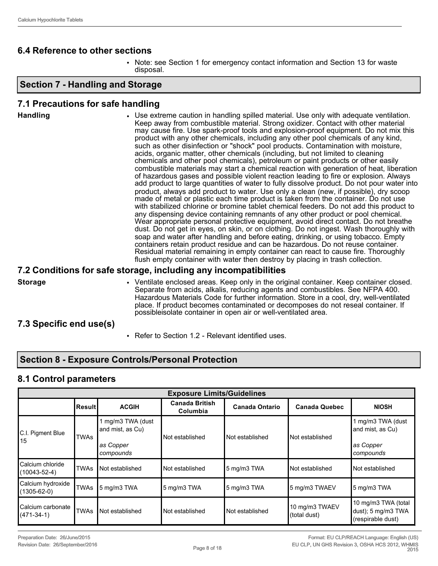## **6.4 Reference to other sections**

• Note: see Section 1 for emergency contact information and Section 13 for waste disposal.

## **Section 7 - Handling and Storage**

### **7.1 Precautions for safe handling**

**Handling** • Use extreme caution in handling spilled material. Use only with adequate ventilation. Keep away from combustible material. Strong oxidizer. Contact with other material may cause fire. Use spark-proof tools and explosion-proof equipment. Do not mix this product with any other chemicals, including any other pool chemicals of any kind, such as other disinfection or "shock" pool products. Contamination with moisture, acids, organic matter, other chemicals (including, but not limited to cleaning chemicals and other pool chemicals), petroleum or paint products or other easily combustible materials may start a chemical reaction with generation of heat, liberation of hazardous gases and possible violent reaction leading to fire or explosion. Always add product to large quantities of water to fully dissolve product. Do not pour water into product, always add product to water. Use only a clean (new, if possible), dry scoop made of metal or plastic each time product is taken from the container. Do not use with stabilized chlorine or bromine tablet chemical feeders. Do not add this product to any dispensing device containing remnants of any other product or pool chemical. Wear appropriate personal protective equipment, avoid direct contact. Do not breathe dust. Do not get in eyes, on skin, or on clothing. Do not ingest. Wash thoroughly with soap and water after handling and before eating, drinking, or using tobacco. Empty containers retain product residue and can be hazardous. Do not reuse container. Residual material remaining in empty container can react to cause fire. Thoroughly flush empty container with water then destroy by placing in trash collection.

### **7.2 Conditions for safe storage, including any incompatibilities**

**Storage** • Ventilate enclosed areas. Keep only in the original container. Keep container closed. Separate from acids, alkalis, reducing agents and combustibles. See NFPA 400. Hazardous Materials Code for further information. Store in a cool, dry, well-ventilated place. If product becomes contaminated or decomposes do not reseal container. If possibleisolate container in open air or well-ventilated area.

## **7.3 Specific end use(s)**

• Refer to Section 1.2 - Relevant identified uses.

## **Section 8 - Exposure Controls/Personal Protection**

## **8.1 Control parameters**

| <b>Exposure Limits/Guidelines</b> |                                                                                                                 |                                                                 |                 |                   |                                |                                                                 |
|-----------------------------------|-----------------------------------------------------------------------------------------------------------------|-----------------------------------------------------------------|-----------------|-------------------|--------------------------------|-----------------------------------------------------------------|
|                                   | <b>Canada British</b><br><b>ACGIH</b><br><b>Canada Ontario</b><br><b>Canada Quebec</b><br>∣Result l<br>Columbia |                                                                 |                 |                   |                                | <b>NIOSH</b>                                                    |
| C.I. Pigment Blue<br>15           | <b>TWAs</b>                                                                                                     | 1 mg/m3 TWA (dust<br>and mist, as Cu)<br>as Copper<br>compounds | Not established | l Not established | INot established               | 1 mg/m3 TWA (dust<br>and mist, as Cu)<br>as Copper<br>compounds |
| Calcium chloride<br>(10043-52-4)  | <b>TWAs</b>                                                                                                     | Not established                                                 | Not established | 5 mg/m3 TWA       | INot established               | Not established                                                 |
| Calcium hydroxide<br>(1305-62-0)  | <b>TWAs</b>                                                                                                     | 5 mg/m3 TWA                                                     | 5 mg/m3 TWA     | 5 mg/m3 TWA       | 5 mg/m3 TWAEV                  | 5 mg/m3 TWA                                                     |
| Calcium carbonate<br>$(471-34-1)$ | <b>TWAs</b>                                                                                                     | Not established                                                 | Not established | Not established   | 10 mg/m3 TWAEV<br>(total dust) | 10 mg/m3 TWA (total<br>dust); 5 mg/m3 TWA<br>(respirable dust)  |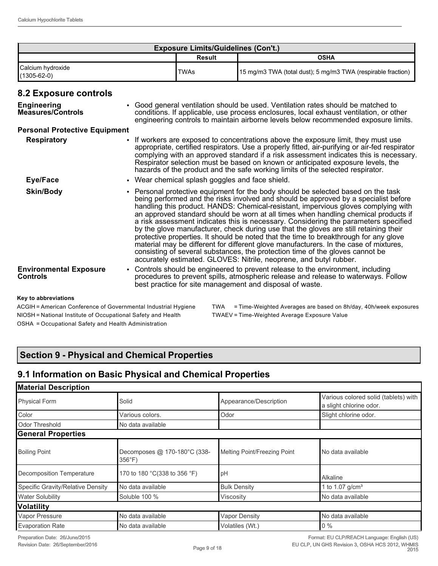| <b>Exposure Limits/Guidelines (Con't.)</b> |             |                                                              |  |  |  |
|--------------------------------------------|-------------|--------------------------------------------------------------|--|--|--|
| OSHA<br>Result                             |             |                                                              |  |  |  |
| Calcium hydroxide<br>$(1305 - 62 - 0)$     | <b>TWAs</b> | 15 mg/m3 TWA (total dust); 5 mg/m3 TWA (respirable fraction) |  |  |  |

## **8.2 Exposure controls**

| <b>Engineering</b><br><b>Measures/Controls</b>                 | • Good general ventilation should be used. Ventilation rates should be matched to<br>conditions. If applicable, use process enclosures, local exhaust ventilation, or other<br>engineering controls to maintain airborne levels below recommended exposure limits.                                                                                                                                                                                                                                                                                                                                                                                                                                                                                                                                                                                                              |
|----------------------------------------------------------------|---------------------------------------------------------------------------------------------------------------------------------------------------------------------------------------------------------------------------------------------------------------------------------------------------------------------------------------------------------------------------------------------------------------------------------------------------------------------------------------------------------------------------------------------------------------------------------------------------------------------------------------------------------------------------------------------------------------------------------------------------------------------------------------------------------------------------------------------------------------------------------|
| <b>Personal Protective Equipment</b>                           |                                                                                                                                                                                                                                                                                                                                                                                                                                                                                                                                                                                                                                                                                                                                                                                                                                                                                 |
| <b>Respiratory</b>                                             | • If workers are exposed to concentrations above the exposure limit, they must use<br>appropriate, certified respirators. Use a properly fitted, air-purifying or air-fed respirator<br>complying with an approved standard if a risk assessment indicates this is necessary.<br>Respirator selection must be based on known or anticipated exposure levels, the<br>hazards of the product and the safe working limits of the selected respirator.                                                                                                                                                                                                                                                                                                                                                                                                                              |
| <b>Eye/Face</b>                                                | • Wear chemical splash goggles and face shield.                                                                                                                                                                                                                                                                                                                                                                                                                                                                                                                                                                                                                                                                                                                                                                                                                                 |
| <b>Skin/Body</b>                                               | • Personal protective equipment for the body should be selected based on the task<br>being performed and the risks involved and should be approved by a specialist before<br>handling this product. HANDS: Chemical-resistant, impervious gloves complying with<br>an approved standard should be worn at all times when handling chemical products if<br>a risk assessment indicates this is necessary. Considering the parameters specified<br>by the glove manufacturer, check during use that the gloves are still retaining their<br>protective properties. It should be noted that the time to breakthrough for any glove<br>material may be different for different glove manufacturers. In the case of mixtures,<br>consisting of several substances, the protection time of the gloves cannot be<br>accurately estimated. GLOVES: Nitrile, neoprene, and butyl rubber. |
| <b>Environmental Exposure</b><br>Controls                      | Controls should be engineered to prevent release to the environment, including<br>$\bullet$<br>procedures to prevent spills, atmospheric release and release to waterways. Follow<br>best practice for site management and disposal of waste.                                                                                                                                                                                                                                                                                                                                                                                                                                                                                                                                                                                                                                   |
| <b>Key to abbreviations</b>                                    |                                                                                                                                                                                                                                                                                                                                                                                                                                                                                                                                                                                                                                                                                                                                                                                                                                                                                 |
| ACGIH = American Conference of Governmental Industrial Hygiene | = Time-Weighted Averages are based on 8h/day, 40h/week exposures<br><b>TWA</b>                                                                                                                                                                                                                                                                                                                                                                                                                                                                                                                                                                                                                                                                                                                                                                                                  |

NIOSH = National Institute of Occupational Safety and Health TWAEV = Time-Weighted Average Exposure Value OSHA = Occupational Safety and Health Administration

# **Section 9 - Physical and Chemical Properties**

## **9.1 Information on Basic Physical and Chemical Properties**

| <b>Material Description</b>       |                                                |                              |                                                                 |
|-----------------------------------|------------------------------------------------|------------------------------|-----------------------------------------------------------------|
| <b>Physical Form</b>              | Solid                                          | Appearance/Description       | Various colored solid (tablets) with<br>a slight chlorine odor. |
| Color                             | Various colors.                                | Odor                         | Slight chlorine odor.                                           |
| <b>Odor Threshold</b>             | No data available                              |                              |                                                                 |
| <b>General Properties</b>         |                                                |                              |                                                                 |
| <b>Boiling Point</b>              | Decomposes @ 170-180°C (338-<br>$356^{\circ}F$ | Melting Point/Freezing Point | INo data available                                              |
| Decomposition Temperature         | 170 to 180 °C(338 to 356 °F)                   | pH                           | Alkaline                                                        |
| Specific Gravity/Relative Density | No data available                              | <b>Bulk Density</b>          | 1 to 1.07 $g/cm^{3}$                                            |
| <b>Water Solubility</b>           | Soluble 100 %                                  | Viscosity                    | No data available                                               |
| Volatility                        |                                                |                              |                                                                 |
| Vapor Pressure                    | No data available                              | <b>Vapor Density</b>         | No data available                                               |
| <b>Evaporation Rate</b>           | No data available                              | Volatiles (Wt.)              | $0\%$                                                           |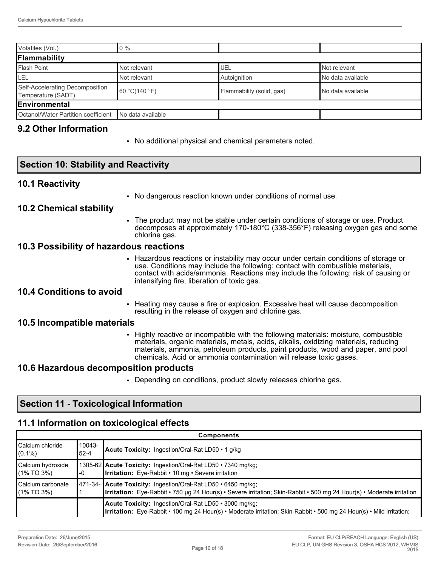| $0\%$                 |                           |                    |  |  |  |  |
|-----------------------|---------------------------|--------------------|--|--|--|--|
| Flammability          |                           |                    |  |  |  |  |
| Not relevant          | UEL                       | Not relevant       |  |  |  |  |
| Not relevant          | Autoignition              | INo data available |  |  |  |  |
| 60 °C(140 °F)         | Flammability (solid, gas) | No data available  |  |  |  |  |
| <b>IEnvironmental</b> |                           |                    |  |  |  |  |
| No data available     |                           |                    |  |  |  |  |
|                       |                           |                    |  |  |  |  |

## **9.2 Other Information**

• No additional physical and chemical parameters noted.

## **Section 10: Stability and Reactivity**

#### **10.1 Reactivity**

• No dangerous reaction known under conditions of normal use.

### **10.2 Chemical stability**

• The product may not be stable under certain conditions of storage or use. Product decomposes at approximately 170-180°C (338-356°F) releasing oxygen gas and some chlorine gas.

#### **10.3 Possibility of hazardous reactions**

• Hazardous reactions or instability may occur under certain conditions of storage or use. Conditions may include the following: contact with combustible materials, contact with acids/ammonia. Reactions may include the following: risk of causing or intensifying fire, liberation of toxic gas.

### **10.4 Conditions to avoid**

• Heating may cause a fire or explosion. Excessive heat will cause decomposition resulting in the release of oxygen and chlorine gas.

#### **10.5 Incompatible materials**

• Highly reactive or incompatible with the following materials: moisture, combustible materials, organic materials, metals, acids, alkalis, oxidizing materials, reducing materials, ammonia, petroleum products, paint products, wood and paper, and pool chemicals. Acid or ammonia contamination will release toxic gases.

#### **10.6 Hazardous decomposition products**

• Depending on conditions, product slowly releases chlorine gas.

## **Section 11 - Toxicological Information**

## **11.1 Information on toxicological effects**

| <b>Components</b>                         |                |                                                                                                                                                                                        |  |  |  |
|-------------------------------------------|----------------|----------------------------------------------------------------------------------------------------------------------------------------------------------------------------------------|--|--|--|
| <b>I</b> Calcium chloride<br>$(0.1\%)$    | 10043-<br>52-4 | Acute Toxicity: Ingestion/Oral-Rat LD50 • 1 g/kg                                                                                                                                       |  |  |  |
| ∥Calcium hydroxide<br>$(1\%$ TO 3%)       | -0             | 1305-62 Acute Toxicity: Ingestion/Oral-Rat LD50 • 7340 mg/kg;<br><b>Irritation:</b> Eye-Rabbit • 10 mg • Severe irritation                                                             |  |  |  |
| <b>I</b> Calcium carbonate<br>I(1% TO 3%) |                | 471-34- Acute Toxicity: Ingestion/Oral-Rat LD50 · 6450 mg/kg;<br>Irritation: Eye-Rabbit • 750 µg 24 Hour(s) • Severe irritation; Skin-Rabbit • 500 mg 24 Hour(s) • Moderate irritation |  |  |  |
|                                           |                | Acute Toxicity: Ingestion/Oral-Rat LD50 • 3000 mg/kg;<br>Irritation: Eye-Rabbit • 100 mg 24 Hour(s) • Moderate irritation; Skin-Rabbit • 500 mg 24 Hour(s) • Mild irritation;          |  |  |  |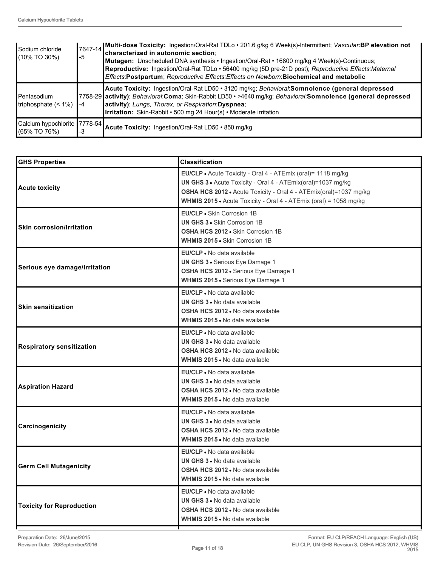| Sodium chloride<br>$(10\%$ TO 30%)              | $17647 - 14$<br>-5 | <b>Multi-dose Toxicity:</b> Ingestion/Oral-Rat TDLo · 201.6 g/kg 6 Week(s)-Intermittent; Vascular:BP elevation not<br>characterized in autonomic section;<br>Mutagen: Unscheduled DNA synthesis • Ingestion/Oral-Rat • 16800 mg/kg 4 Week(s)-Continuous;<br>Reproductive: Ingestion/Oral-Rat TDLo · 56400 mg/kg (5D pre-21D post); Reproductive Effects: Maternal<br>Effects: Postpartum; Reproductive Effects: Effects on Newborn: Biochemical and metabolic |
|-------------------------------------------------|--------------------|---------------------------------------------------------------------------------------------------------------------------------------------------------------------------------------------------------------------------------------------------------------------------------------------------------------------------------------------------------------------------------------------------------------------------------------------------------------|
| l Pentasodium<br>triphosphate $($ < 1% $)$      | l -4               | Acute Toxicity: Ingestion/Oral-Rat LD50 · 3120 mg/kg; Behavioral:Somnolence (general depressed<br>7758-29 activity); Behavioral:Coma; Skin-Rabbit LD50 • >4640 mg/kg; Behavioral:Somnolence (general depressed<br>activity); Lungs, Thorax, or Respiration:Dyspnea;<br><b>Irritation:</b> Skin-Rabbit • 500 mg 24 Hour(s) • Moderate irritation                                                                                                               |
| Calcium hypochlorite 7778-54<br>$(65\%$ TO 76%) | -3                 | Acute Toxicity: Ingestion/Oral-Rat LD50 · 850 mg/kg                                                                                                                                                                                                                                                                                                                                                                                                           |

| <b>GHS Properties</b>            | <b>Classification</b>                                                                                                                                                                                                                                                  |  |  |
|----------------------------------|------------------------------------------------------------------------------------------------------------------------------------------------------------------------------------------------------------------------------------------------------------------------|--|--|
| <b>Acute toxicity</b>            | EU/CLP . Acute Toxicity - Oral 4 - ATEmix (oral)= 1118 mg/kg<br>UN GHS 3 . Acute Toxicity - Oral 4 - ATEmix(oral)=1037 mg/kg<br>OSHA HCS 2012 · Acute Toxicity - Oral 4 - ATEmix(oral)=1037 mg/kg<br>WHMIS 2015 • Acute Toxicity - Oral 4 - ATEmix (oral) = 1058 mg/kg |  |  |
| <b>Skin corrosion/Irritation</b> | EU/CLP • Skin Corrosion 1B<br><b>UN GHS 3 · Skin Corrosion 1B</b><br>OSHA HCS 2012 . Skin Corrosion 1B<br><b>WHMIS 2015 • Skin Corrosion 1B</b>                                                                                                                        |  |  |
| Serious eye damage/Irritation    | EU/CLP • No data available<br>UN GHS 3 · Serious Eye Damage 1<br>OSHA HCS 2012 · Serious Eye Damage 1<br>WHMIS 2015 . Serious Eye Damage 1                                                                                                                             |  |  |
| <b>Skin sensitization</b>        | EU/CLP • No data available<br><b>UN GHS 3 • No data available</b><br>OSHA HCS 2012 . No data available<br><b>WHMIS 2015 • No data available</b>                                                                                                                        |  |  |
| <b>Respiratory sensitization</b> | EU/CLP • No data available<br><b>UN GHS 3 . No data available</b><br><b>OSHA HCS 2012 • No data available</b><br>WHMIS 2015 . No data available                                                                                                                        |  |  |
| <b>Aspiration Hazard</b>         | EU/CLP • No data available<br>UN GHS 3 . No data available<br><b>OSHA HCS 2012 • No data available</b><br>WHMIS 2015 . No data available                                                                                                                               |  |  |
| Carcinogenicity                  | EU/CLP • No data available<br><b>UN GHS 3 • No data available</b><br><b>OSHA HCS 2012 • No data available</b><br>WHMIS 2015 . No data available                                                                                                                        |  |  |
| <b>Germ Cell Mutagenicity</b>    | EU/CLP • No data available<br>UN GHS 3 . No data available<br><b>OSHA HCS 2012 .</b> No data available<br><b>WHMIS 2015 • No data available</b>                                                                                                                        |  |  |
| <b>Toxicity for Reproduction</b> | EU/CLP • No data available<br><b>UN GHS 3 • No data available</b><br>OSHA HCS 2012 . No data available<br><b>WHMIS 2015 • No data available</b>                                                                                                                        |  |  |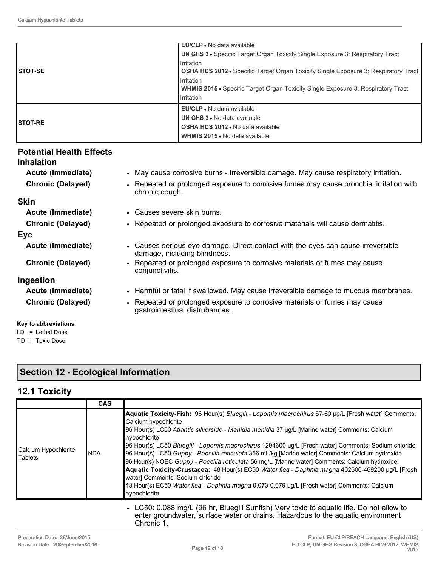| ISTOT-SE        | <b>EU/CLP</b> • No data available<br><b>UN GHS 3 •</b> Specific Target Organ Toxicity Single Exposure 3: Respiratory Tract<br>Irritation<br><b>OSHA HCS 2012 •</b> Specific Target Organ Toxicity Single Exposure 3: Respiratory Tract  <br>Irritation<br><b>WHMIS 2015</b> • Specific Target Organ Toxicity Single Exposure 3: Respiratory Tract<br>Irritation |
|-----------------|-----------------------------------------------------------------------------------------------------------------------------------------------------------------------------------------------------------------------------------------------------------------------------------------------------------------------------------------------------------------|
| <b>ISTOT-RE</b> | <b>EU/CLP</b> • No data available<br><b>UN GHS 3 • No data available</b><br><b>OSHA HCS 2012 • No data available</b><br><b>WHMIS 2015 • No data available</b>                                                                                                                                                                                                   |

## **Potential Health Effects**

#### **Inhalation**

- **Acute (Immediate)** May cause corrosive burns irreversible damage. May cause respiratory irritation.
- **Chronic (Delayed)** Repeated or prolonged exposure to corrosive fumes may cause bronchial irritation with
	- chronic cough.

conjunctivitis.

damage, including blindness.

## **Skin**

**Acute (Immediate)** • Causes severe skin burns.

**Chronic (Delayed)** • Repeated or prolonged exposure to corrosive materials will cause dermatitis.

### **Eye**

**Acute (Immediate)** • Causes serious eye damage. Direct contact with the eyes can cause irreversible

**Chronic (Delayed)** • Repeated or prolonged exposure to corrosive materials or fumes may cause

### **Ingestion**

- **Acute (Immediate)** Harmful or fatal if swallowed. May cause irreversible damage to mucous membranes.
- **Chronic (Delayed)** Repeated or prolonged exposure to corrosive materials or fumes may cause gastrointestinal distrubances.

#### **Key to abbreviations**

LD = Lethal Dose

TD = Toxic Dose

## **Section 12 - Ecological Information**

## **12.1 Toxicity**

|                                          | <b>CAS</b> |                                                                                                                                                                                                                                                                                                                                                                                                                                                                                                                                                                                                                                                                                                                                                                                                                   |
|------------------------------------------|------------|-------------------------------------------------------------------------------------------------------------------------------------------------------------------------------------------------------------------------------------------------------------------------------------------------------------------------------------------------------------------------------------------------------------------------------------------------------------------------------------------------------------------------------------------------------------------------------------------------------------------------------------------------------------------------------------------------------------------------------------------------------------------------------------------------------------------|
| Calcium Hypochlorite<br><b>I</b> Tablets | <b>NDA</b> | Aquatic Toxicity-Fish: 96 Hour(s) Bluegill - Lepomis macrochirus 57-60 µg/L [Fresh water] Comments:<br>Calcium hypochlorite<br>96 Hour(s) LC50 Atlantic silverside - Menidia menidia 37 µg/L [Marine water] Comments: Calcium<br>hypochlorite<br>96 Hour(s) LC50 Bluegill - Lepomis macrochirus 1294600 µg/L [Fresh water] Comments: Sodium chloride<br>96 Hour(s) LC50 Guppy - Poecilia reticulata 356 mL/kg [Marine water] Comments: Calcium hydroxide<br>96 Hour(s) NOEC Guppy - Poecilia reticulata 56 mg/L [Marine water] Comments: Calcium hydroxide<br>Aquatic Toxicity-Crustacea: 48 Hour(s) EC50 Water flea - Daphnia magna 402600-469200 µg/L [Fresh<br>water] Comments: Sodium chloride<br>48 Hour(s) EC50 Water flea - Daphnia magna 0.073-0.079 µg/L [Fresh water] Comments: Calcium<br>hypochlorite |
|                                          |            | • LC50: 0.088 mg/L (96 hr, Bluegill Sunfish) Very toxic to aquatic life. Do not allow to                                                                                                                                                                                                                                                                                                                                                                                                                                                                                                                                                                                                                                                                                                                          |

enter groundwater, surface water or drains. Hazardous to the aquatic environment Chronic 1.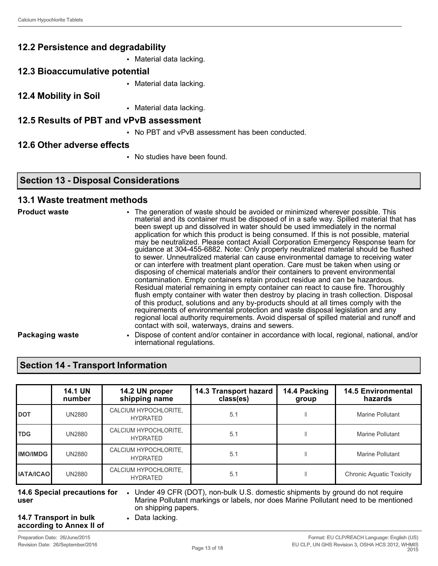## **12.2 Persistence and degradability**

• Material data lacking.

## **12.3 Bioaccumulative potential**

• Material data lacking.

### **12.4 Mobility in Soil**

• Material data lacking.

### **12.5 Results of PBT and vPvB assessment**

• No PBT and vPvB assessment has been conducted.

### **12.6 Other adverse effects**

• No studies have been found.

## **Section 13 - Disposal Considerations**

### **13.1 Waste treatment methods**

- **Product waste** The generation of waste should be avoided or minimized wherever possible. This material and its container must be disposed of in a safe way. Spilled material that has been swept up and dissolved in water should be used immediately in the normal application for which this product is being consumed. If this is not possible, material may be neutralized. Please contact Axiall Corporation Emergency Response team for guidance at 304-455-6882. Note: Only properly neutralized material should be flushed to sewer. Unneutralized material can cause environmental damage to receiving water or can interfere with treatment plant operation. Care must be taken when using or disposing of chemical materials and/or their containers to prevent environmental contamination. Empty containers retain product residue and can be hazardous. Residual material remaining in empty container can react to cause fire. Thoroughly flush empty container with water then destroy by placing in trash collection. Disposal of this product, solutions and any by-products should at all times comply with the requirements of environmental protection and waste disposal legislation and any regional local authority requirements. Avoid dispersal of spilled material and runoff and contact with soil, waterways, drains and sewers.
- 
- **Packaging waste** Dispose of content and/or container in accordance with local, regional, national, and/or international regulations.

## **Section 14 - Transport Information**

|                  | <b>14.1 UN</b><br>number | 14.2 UN proper<br>shipping name          | 14.3 Transport hazard<br>class(es) | 14.4 Packing<br>group | <b>14.5 Environmental</b><br>hazards |
|------------------|--------------------------|------------------------------------------|------------------------------------|-----------------------|--------------------------------------|
| <b>DOT</b>       | <b>UN2880</b>            | CALCIUM HYPOCHLORITE,<br><b>HYDRATED</b> | 5.1                                |                       | Marine Pollutant                     |
| <b>I</b> TDG     | <b>UN2880</b>            | CALCIUM HYPOCHLORITE,<br><b>HYDRATED</b> | 5.1                                |                       | Marine Pollutant                     |
| <b>IMO/IMDG</b>  | <b>UN2880</b>            | CALCIUM HYPOCHLORITE,<br><b>HYDRATED</b> | 5.1                                |                       | Marine Pollutant                     |
| <b>IATA/ICAO</b> | <b>UN2880</b>            | CALCIUM HYPOCHLORITE,<br><b>HYDRATED</b> | 5.1                                |                       | <b>Chronic Aquatic Toxicity</b>      |

#### **14.6 Special precautions for user**

• Under 49 CFR (DOT), non-bulk U.S. domestic shipments by ground do not require Marine Pollutant markings or labels, nor does Marine Pollutant need to be mentioned on shipping papers.

#### **14.7 Transport in bulk according to Annex II of**

• Data lacking.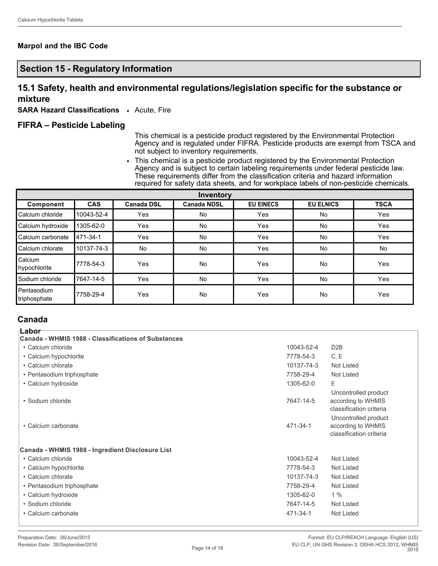#### **Marpol and the IBC Code**

### **Section 15 - Regulatory Information**

## **15.1 Safety, health and environmental regulations/legislation specific for the substance or mixture**

**SARA Hazard Classifications** • Acute, Fire

#### **FIFRA – Pesticide Labeling**

This chemical is a pesticide product registered by the Environmental Protection Agency and is regulated under FIFRA. Pesticide products are exempt from TSCA and not subject to inventory requirements.

• This chemical is a pesticide product registered by the Environmental Protection Agency and is subject to certain labeling requirements under federal pesticide law. These requirements differ from the classification criteria and hazard information required for safety data sheets, and for workplace labels of non-pesticide chemicals.

| Inventory                     |            |                   |                    |                  |                  |             |
|-------------------------------|------------|-------------------|--------------------|------------------|------------------|-------------|
| Component                     | <b>CAS</b> | <b>Canada DSL</b> | <b>Canada NDSL</b> | <b>EU EINECS</b> | <b>EU ELNICS</b> | <b>TSCA</b> |
| Calcium chloride              | 10043-52-4 | Yes               | No                 | Yes              | No               | Yes         |
| Calcium hydroxide             | 1305-62-0  | Yes               | No                 | Yes              | <b>No</b>        | Yes         |
| Calcium carbonate             | 471-34-1   | Yes               | No                 | Yes              | No               | Yes         |
| Calcium chlorate              | 10137-74-3 | No                | No                 | Yes              | No               | No          |
| Calcium<br>hypochlorite       | 7778-54-3  | Yes               | <b>No</b>          | Yes              | <b>No</b>        | Yes         |
| Sodium chloride               | 7647-14-5  | Yes               | <b>No</b>          | Yes              | <b>No</b>        | Yes         |
| l Pentasodium<br>triphosphate | 7758-29-4  | Yes               | No                 | Yes              | <b>No</b>        | Yes         |

## **Canada**

| 'Labor⊤                                             |            |                                                                       |
|-----------------------------------------------------|------------|-----------------------------------------------------------------------|
| Canada - WHMIS 1988 - Classifications of Substances |            |                                                                       |
| • Calcium chloride                                  | 10043-52-4 | D <sub>2</sub> B                                                      |
| • Calcium hypochlorite                              | 7778-54-3  | C, E                                                                  |
| • Calcium chlorate                                  | 10137-74-3 | Not Listed                                                            |
| • Pentasodium triphosphate                          | 7758-29-4  | Not Listed                                                            |
| • Calcium hydroxide                                 | 1305-62-0  | E.                                                                    |
| • Sodium chloride                                   | 7647-14-5  | Uncontrolled product<br>according to WHMIS<br>classification criteria |
| • Calcium carbonate                                 | 471-34-1   | Uncontrolled product<br>according to WHMIS<br>classification criteria |
| Canada - WHMIS 1988 - Ingredient Disclosure List    |            |                                                                       |
| • Calcium chloride                                  | 10043-52-4 | Not Listed                                                            |
| • Calcium hypochlorite                              | 7778-54-3  | Not Listed                                                            |
| • Calcium chlorate                                  | 10137-74-3 | Not Listed                                                            |
| • Pentasodium triphosphate                          | 7758-29-4  | Not Listed                                                            |
| • Calcium hydroxide                                 | 1305-62-0  | $1\%$                                                                 |
| • Sodium chloride                                   | 7647-14-5  | Not Listed                                                            |
| • Calcium carbonate                                 | 471-34-1   | Not Listed                                                            |
|                                                     |            |                                                                       |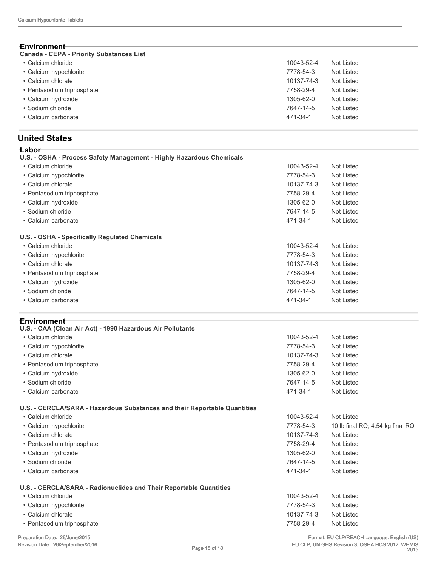### **Environment**

| Canada - CEPA - Priority Substances List |            |            |
|------------------------------------------|------------|------------|
| • Calcium chloride                       | 10043-52-4 | Not Listed |
| • Calcium hypochlorite                   | 7778-54-3  | Not Listed |
| • Calcium chlorate                       | 10137-74-3 | Not Listed |
| • Pentasodium triphosphate               | 7758-29-4  | Not Listed |
| • Calcium hydroxide                      | 1305-62-0  | Not Listed |
| • Sodium chloride                        | 7647-14-5  | Not Listed |
| • Calcium carbonate                      | 471-34-1   | Not Listed |

#### **United States**

| ⊦Labor                                                                    |            |                                  |
|---------------------------------------------------------------------------|------------|----------------------------------|
| U.S. - OSHA - Process Safety Management - Highly Hazardous Chemicals      |            |                                  |
| • Calcium chloride                                                        | 10043-52-4 | Not Listed                       |
| • Calcium hypochlorite                                                    | 7778-54-3  | <b>Not Listed</b>                |
| • Calcium chlorate                                                        | 10137-74-3 | <b>Not Listed</b>                |
| · Pentasodium triphosphate                                                | 7758-29-4  | <b>Not Listed</b>                |
| · Calcium hydroxide                                                       | 1305-62-0  | <b>Not Listed</b>                |
| • Sodium chloride                                                         | 7647-14-5  | <b>Not Listed</b>                |
| • Calcium carbonate                                                       | 471-34-1   | Not Listed                       |
| U.S. - OSHA - Specifically Regulated Chemicals                            |            |                                  |
| • Calcium chloride                                                        | 10043-52-4 | Not Listed                       |
| • Calcium hypochlorite                                                    | 7778-54-3  | Not Listed                       |
| • Calcium chlorate                                                        | 10137-74-3 | Not Listed                       |
| • Pentasodium triphosphate                                                | 7758-29-4  | Not Listed                       |
| · Calcium hydroxide                                                       | 1305-62-0  | Not Listed                       |
| · Sodium chloride                                                         | 7647-14-5  | Not Listed                       |
| • Calcium carbonate                                                       | 471-34-1   | Not Listed                       |
| <sub>'</sub> Environment <sup>.</sup>                                     |            |                                  |
| U.S. - CAA (Clean Air Act) - 1990 Hazardous Air Pollutants                |            |                                  |
| • Calcium chloride                                                        | 10043-52-4 | <b>Not Listed</b>                |
| • Calcium hypochlorite                                                    | 7778-54-3  | Not Listed                       |
| • Calcium chlorate                                                        | 10137-74-3 | <b>Not Listed</b>                |
| • Pentasodium triphosphate                                                | 7758-29-4  | <b>Not Listed</b>                |
| · Calcium hydroxide                                                       | 1305-62-0  | <b>Not Listed</b>                |
| • Sodium chloride                                                         | 7647-14-5  | <b>Not Listed</b>                |
| • Calcium carbonate                                                       | 471-34-1   | <b>Not Listed</b>                |
| U.S. - CERCLA/SARA - Hazardous Substances and their Reportable Quantities |            |                                  |
| • Calcium chloride                                                        | 10043-52-4 | <b>Not Listed</b>                |
| • Calcium hypochlorite                                                    | 7778-54-3  | 10 lb final RQ; 4.54 kg final RQ |
| • Calcium chlorate                                                        | 10137-74-3 | <b>Not Listed</b>                |
| • Pentasodium triphosphate                                                | 7758-29-4  | Not Listed                       |
| • Calcium hydroxide                                                       | 1305-62-0  | Not Listed                       |
| · Sodium chloride                                                         | 7647-14-5  | Not Listed                       |
| • Calcium carbonate                                                       | 471-34-1   | Not Listed                       |
| U.S. - CERCLA/SARA - Radionuclides and Their Reportable Quantities        |            |                                  |
| • Calcium chloride                                                        | 10043-52-4 | Not Listed                       |
| • Calcium hypochlorite                                                    | 7778-54-3  | <b>Not Listed</b>                |
| • Calcium chlorate                                                        | 10137-74-3 | Not Listed                       |
| • Pentasodium triphosphate                                                | 7758-29-4  | Not Listed                       |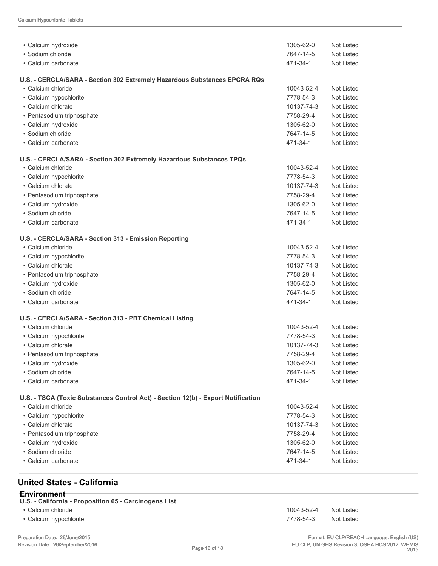| · Calcium hydroxide                                                              | 1305-62-0  | Not Listed        |
|----------------------------------------------------------------------------------|------------|-------------------|
| • Sodium chloride                                                                | 7647-14-5  | <b>Not Listed</b> |
| • Calcium carbonate                                                              | 471-34-1   | <b>Not Listed</b> |
| U.S. - CERCLA/SARA - Section 302 Extremely Hazardous Substances EPCRA RQs        |            |                   |
| • Calcium chloride                                                               | 10043-52-4 | <b>Not Listed</b> |
| • Calcium hypochlorite                                                           | 7778-54-3  | <b>Not Listed</b> |
| • Calcium chlorate                                                               | 10137-74-3 | <b>Not Listed</b> |
| · Pentasodium triphosphate                                                       | 7758-29-4  | <b>Not Listed</b> |
| • Calcium hydroxide                                                              | 1305-62-0  | <b>Not Listed</b> |
| · Sodium chloride                                                                | 7647-14-5  | <b>Not Listed</b> |
| • Calcium carbonate                                                              | 471-34-1   | Not Listed        |
| U.S. - CERCLA/SARA - Section 302 Extremely Hazardous Substances TPQs             |            |                   |
| • Calcium chloride                                                               | 10043-52-4 | Not Listed        |
| • Calcium hypochlorite                                                           | 7778-54-3  | <b>Not Listed</b> |
| • Calcium chlorate                                                               | 10137-74-3 | Not Listed        |
| • Pentasodium triphosphate                                                       | 7758-29-4  | <b>Not Listed</b> |
| · Calcium hydroxide                                                              | 1305-62-0  | <b>Not Listed</b> |
| • Sodium chloride                                                                | 7647-14-5  | <b>Not Listed</b> |
| • Calcium carbonate                                                              | 471-34-1   | <b>Not Listed</b> |
| U.S. - CERCLA/SARA - Section 313 - Emission Reporting                            |            |                   |
| • Calcium chloride                                                               | 10043-52-4 | <b>Not Listed</b> |
| • Calcium hypochlorite                                                           | 7778-54-3  | <b>Not Listed</b> |
| • Calcium chlorate                                                               | 10137-74-3 | Not Listed        |
| • Pentasodium triphosphate                                                       | 7758-29-4  | Not Listed        |
| • Calcium hydroxide                                                              | 1305-62-0  | Not Listed        |
| • Sodium chloride                                                                | 7647-14-5  | Not Listed        |
| • Calcium carbonate                                                              | 471-34-1   | Not Listed        |
| U.S. - CERCLA/SARA - Section 313 - PBT Chemical Listing                          |            |                   |
| • Calcium chloride                                                               | 10043-52-4 | Not Listed        |
| • Calcium hypochlorite                                                           | 7778-54-3  | <b>Not Listed</b> |
| • Calcium chlorate                                                               | 10137-74-3 | Not Listed        |
| • Pentasodium triphosphate                                                       | 7758-29-4  | Not Listed        |
| • Calcium hydroxide                                                              | 1305-62-0  | <b>Not Listed</b> |
| • Sodium chloride                                                                | 7647-14-5  | <b>Not Listed</b> |
| • Calcium carbonate                                                              | 471-34-1   | <b>Not Listed</b> |
| U.S. - TSCA (Toxic Substances Control Act) - Section 12(b) - Export Notification |            |                   |
| • Calcium chloride                                                               | 10043-52-4 | Not Listed        |
| • Calcium hypochlorite                                                           | 7778-54-3  | <b>Not Listed</b> |
| • Calcium chlorate                                                               | 10137-74-3 | Not Listed        |
| • Pentasodium triphosphate                                                       | 7758-29-4  | <b>Not Listed</b> |
| • Calcium hydroxide                                                              | 1305-62-0  | Not Listed        |
| · Sodium chloride                                                                | 7647-14-5  | <b>Not Listed</b> |
| • Calcium carbonate                                                              | 471-34-1   | Not Listed        |
|                                                                                  |            |                   |

## **United States - California**

| ⊤Environment⊤<br>U.S. - California - Proposition 65 - Carcinogens List |            |            |
|------------------------------------------------------------------------|------------|------------|
| • Calcium chloride                                                     | 10043-52-4 | Not Listed |
| • Calcium hypochlorite                                                 | 7778-54-3  | Not Listed |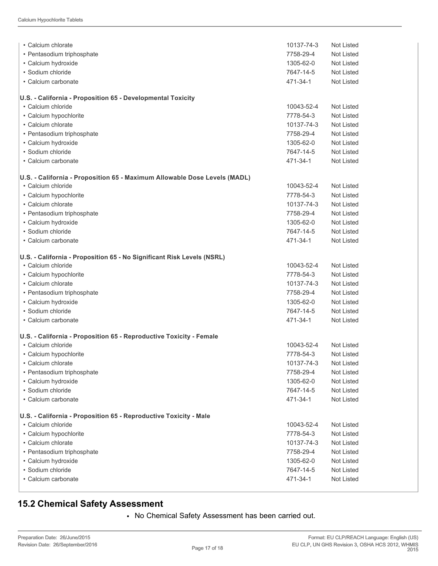| • Calcium chlorate                                                        | 10137-74-3 | Not Listed        |
|---------------------------------------------------------------------------|------------|-------------------|
| • Pentasodium triphosphate                                                | 7758-29-4  | Not Listed        |
| • Calcium hydroxide                                                       | 1305-62-0  | Not Listed        |
| • Sodium chloride                                                         | 7647-14-5  | Not Listed        |
| • Calcium carbonate                                                       | 471-34-1   | Not Listed        |
| U.S. - California - Proposition 65 - Developmental Toxicity               |            |                   |
| • Calcium chloride                                                        | 10043-52-4 | <b>Not Listed</b> |
| • Calcium hypochlorite                                                    | 7778-54-3  | Not Listed        |
| • Calcium chlorate                                                        | 10137-74-3 | Not Listed        |
| · Pentasodium triphosphate                                                | 7758-29-4  | Not Listed        |
| · Calcium hydroxide                                                       | 1305-62-0  | Not Listed        |
| • Sodium chloride                                                         | 7647-14-5  | Not Listed        |
| • Calcium carbonate                                                       | 471-34-1   | Not Listed        |
| U.S. - California - Proposition 65 - Maximum Allowable Dose Levels (MADL) |            |                   |
| • Calcium chloride                                                        | 10043-52-4 | <b>Not Listed</b> |
| • Calcium hypochlorite                                                    | 7778-54-3  | Not Listed        |
| • Calcium chlorate                                                        | 10137-74-3 | Not Listed        |
| • Pentasodium triphosphate                                                | 7758-29-4  | Not Listed        |
| • Calcium hydroxide                                                       | 1305-62-0  | Not Listed        |
| • Sodium chloride                                                         | 7647-14-5  | Not Listed        |
| • Calcium carbonate                                                       | 471-34-1   | Not Listed        |
| U.S. - California - Proposition 65 - No Significant Risk Levels (NSRL)    |            |                   |
| • Calcium chloride                                                        | 10043-52-4 | Not Listed        |
| • Calcium hypochlorite                                                    | 7778-54-3  | Not Listed        |
| • Calcium chlorate                                                        | 10137-74-3 | Not Listed        |
| • Pentasodium triphosphate                                                | 7758-29-4  | Not Listed        |
| • Calcium hydroxide                                                       | 1305-62-0  | Not Listed        |
| · Sodium chloride                                                         | 7647-14-5  | Not Listed        |
| • Calcium carbonate                                                       | 471-34-1   | Not Listed        |
| U.S. - California - Proposition 65 - Reproductive Toxicity - Female       |            |                   |
| • Calcium chloride                                                        | 10043-52-4 | Not Listed        |
| • Calcium hypochlorite                                                    | 7778-54-3  | Not Listed        |
| • Calcium chlorate                                                        | 10137-74-3 | Not Listed        |
| · Pentasodium triphosphate                                                | 7758-29-4  | Not Listed        |
| • Calcium hydroxide                                                       | 1305-62-0  | Not Listed        |
| · Sodium chloride                                                         | 7647-14-5  | Not Listed        |
| • Calcium carbonate                                                       | 471-34-1   | Not Listed        |
| U.S. - California - Proposition 65 - Reproductive Toxicity - Male         |            |                   |
| • Calcium chloride                                                        | 10043-52-4 | Not Listed        |
| • Calcium hypochlorite                                                    | 7778-54-3  | Not Listed        |
| • Calcium chlorate                                                        | 10137-74-3 | Not Listed        |
| • Pentasodium triphosphate                                                | 7758-29-4  | Not Listed        |
| • Calcium hydroxide                                                       | 1305-62-0  | Not Listed        |
| · Sodium chloride                                                         | 7647-14-5  | Not Listed        |
| • Calcium carbonate                                                       | 471-34-1   | Not Listed        |
|                                                                           |            |                   |

# **15.2 Chemical Safety Assessment**

• No Chemical Safety Assessment has been carried out.